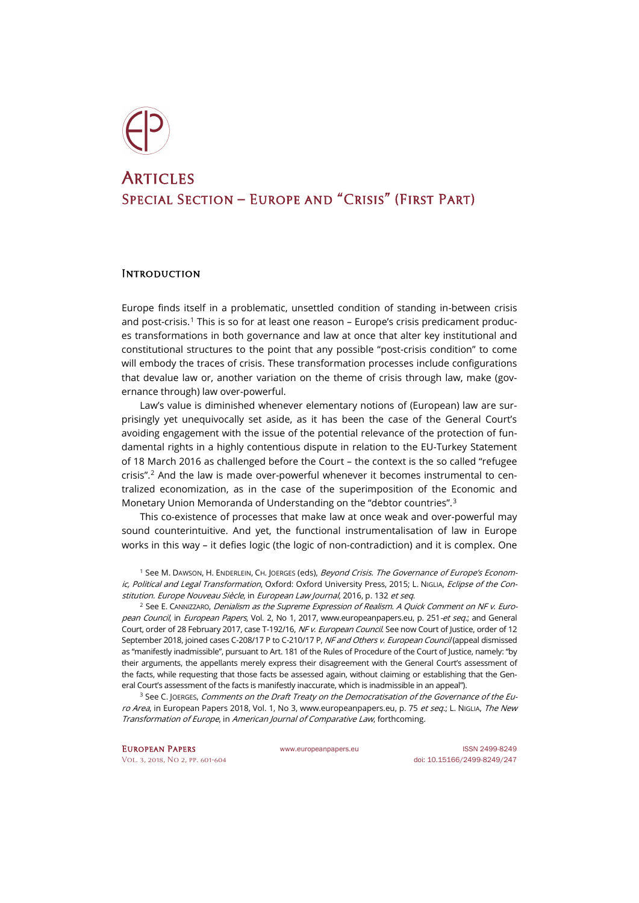

## **ARTICLES** Special Section – Europe and "Crisis" (First Part)

## **INTRODUCTION**

Europe finds itself in a problematic, unsettled condition of standing in-between crisis and post-crisis.<sup>[1](#page-0-0)</sup> This is so for at least one reason – Europe's crisis predicament produces transformations in both governance and law at once that alter key institutional and constitutional structures to the point that any possible "post-crisis condition" to come will embody the traces of crisis. These transformation processes include configurations that devalue law or, another variation on the theme of crisis through law, make (governance through) law over-powerful.

Law's value is diminished whenever elementary notions of (European) law are surprisingly yet unequivocally set aside, as it has been the case of the General Court's avoiding engagement with the issue of the potential relevance of the protection of fundamental rights in a highly contentious dispute in relation to the EU-Turkey Statement of 18 March 2016 as challenged before the Court – the context is the so called "refugee crisis".[2](#page-0-1) And the law is made over-powerful whenever it becomes instrumental to centralized economization, as in the case of the superimposition of the Economic and Monetary Union Memoranda of Understanding on the "debtor countries".[3](#page-0-2)

This co-existence of processes that make law at once weak and over-powerful may sound counterintuitive. And yet, the functional instrumentalisation of law in Europe works in this way – it defies logic (the logic of non-contradiction) and it is complex. One

<span id="page-0-0"></span><sup>1</sup> See M. Dawson, H. Enderlein, Ch. Joerges (eds), *Beyond Crisis. The Governance of Europe's Econom*ic, Political and Legal Transformation, Oxford: Oxford University Press, 2015; L. NIGLIA, Eclipse of the Constitution. Europe Nouveau Siècle, in European Law Journal, 2016, p. 132 et seq.

<span id="page-0-1"></span> $<sup>2</sup>$  See E. CANNIZZARO, *Denialism as the Supreme Expression of Realism. A Quick Comment on NF v. Euro-*</sup> pean Council, in European Papers, Vol. 2, No 1, 2017[, www.europeanpapers.eu,](http://www.europeanpapers.eu/en/europeanforum/denialism-as-the-supreme-expression-of-realism-comment-on-nf-v-european-council) p. 251-et seq.; and General Court, order of 28 February 2017, case T-192/16, NF v. European Council. See now Court of Justice, order of 12 September 2018, joined cases C-208/17 P to C-210/17 P, NF and Others v. European Council (appeal dismissed as "manifestly inadmissible", pursuant to Art. 181 of the Rules of Procedure of the Court of Justice, namely: "by their arguments, the appellants merely express their disagreement with the General Court's assessment of the facts, while requesting that those facts be assessed again, without claiming or establishing that the General Court's assessment of the facts is manifestly inaccurate, which is inadmissible in an appeal").

<span id="page-0-2"></span><sup>3</sup> See C. JOERGES, Comments on the Draft Treaty on the Democratisation of the Governance of the Euro Area, in European Papers 2018, Vol. 1, No 3, [www.europeanpapers.eu,](http://www.europeanpapers.eu/en/e-journal/comments-on-draft-treaty-on-democratization-of-governance-of-euro-area) p. 75 et seq.; L. NIGLIA, The New Transformation of Europe, in American Journal of Comparative Law, forthcoming.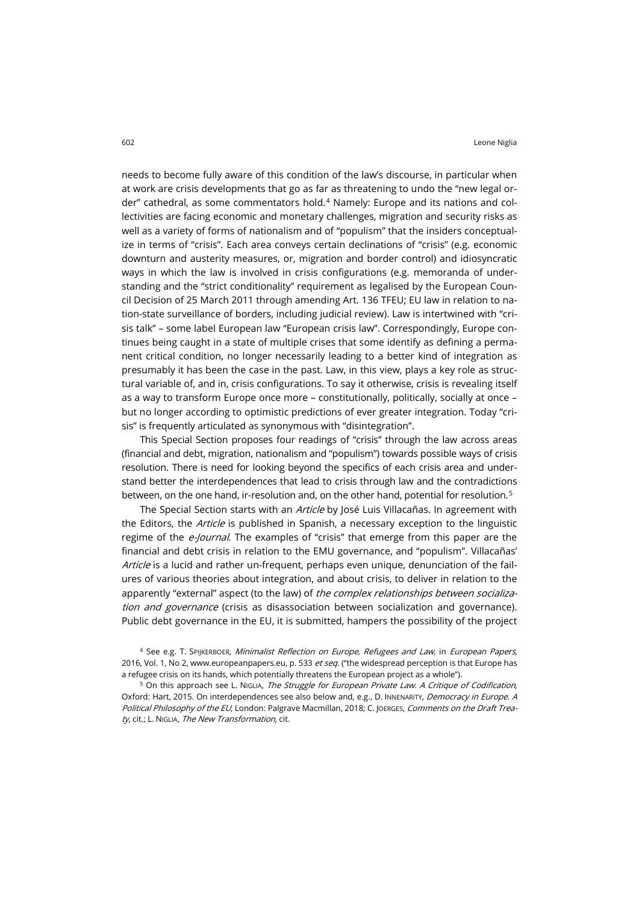needs to become fully aware of this condition of the law's discourse, in particular when at work are crisis developments that go as far as threatening to undo the "new legal order" cathedral, as some commentators hold.[4](#page-1-0) Namely: Europe and its nations and collectivities are facing economic and monetary challenges, migration and security risks as well as a variety of forms of nationalism and of "populism" that the insiders conceptualize in terms of "crisis". Each area conveys certain declinations of "crisis" (e.g. economic downturn and austerity measures, or, migration and border control) and idiosyncratic ways in which the law is involved in crisis configurations (e.g. memoranda of understanding and the "strict conditionality" requirement as legalised by the European Council Decision of 25 March 2011 through amending Art. 136 TFEU; EU law in relation to nation-state surveillance of borders, including judicial review). Law is intertwined with "crisis talk" – some label European law "European crisis law". Correspondingly, Europe continues being caught in a state of multiple crises that some identify as defining a permanent critical condition, no longer necessarily leading to a better kind of integration as presumably it has been the case in the past. Law, in this view, plays a key role as structural variable of, and in, crisis configurations. To say it otherwise, crisis is revealing itself as a way to transform Europe once more – constitutionally, politically, socially at once – but no longer according to optimistic predictions of ever greater integration. Today "crisis" is frequently articulated as synonymous with "disintegration".

This Special Section proposes four readings of "crisis" through the law across areas (financial and debt, migration, nationalism and "populism") towards possible ways of crisis resolution. There is need for looking beyond the specifics of each crisis area and understand better the interdependences that lead to crisis through law and the contradictions between, on the one hand, ir-resolution and, on the other hand, potential for resolution.<sup>[5](#page-1-1)</sup>

The Special Section starts with an *Article* by José Luis Villacañas. In agreement with the Editors, the *Article* is published in Spanish, a necessary exception to the linguistic regime of the *e-Journal*. The examples of "crisis" that emerge from this paper are the financial and debt crisis in relation to the EMU governance, and "populism". Villacañas' Article is a lucid and rather un-frequent, perhaps even unique, denunciation of the failures of various theories about integration, and about crisis, to deliver in relation to the apparently "external" aspect (to the law) of the complex relationships between socialization and governance (crisis as disassociation between socialization and governance). Public debt governance in the EU, it is submitted, hampers the possibility of the project

<span id="page-1-0"></span><sup>4</sup> See e.g. T. SPIJKERBOER, Minimalist Reflection on Europe, Refugees and Law, in European Papers, 2016, Vol. 1, No 2, [www.europeanpapers.eu,](http://europeanpapers.eu/en/e-journal/minimalist-reflections-europe-refugees-and-law) p. 533 et seq. ("the widespread perception is that Europe has a refugee crisis on its hands, which potentially threatens the European project as a whole").

<span id="page-1-1"></span><sup>5</sup> On this approach see L. NIGLIA, The Struggle for European Private Law. A Critique of Codification, Oxford: Hart, 2015. On interdependences see also below and, e.g., D. INNENARITY, Democracy in Europe. A Political Philosophy of the EU, London: Palgrave Macmillan, 2018; C. JOERGES, Comments on the Draft Treaty, cit.; L. NIGLIA, The New Transformation, cit.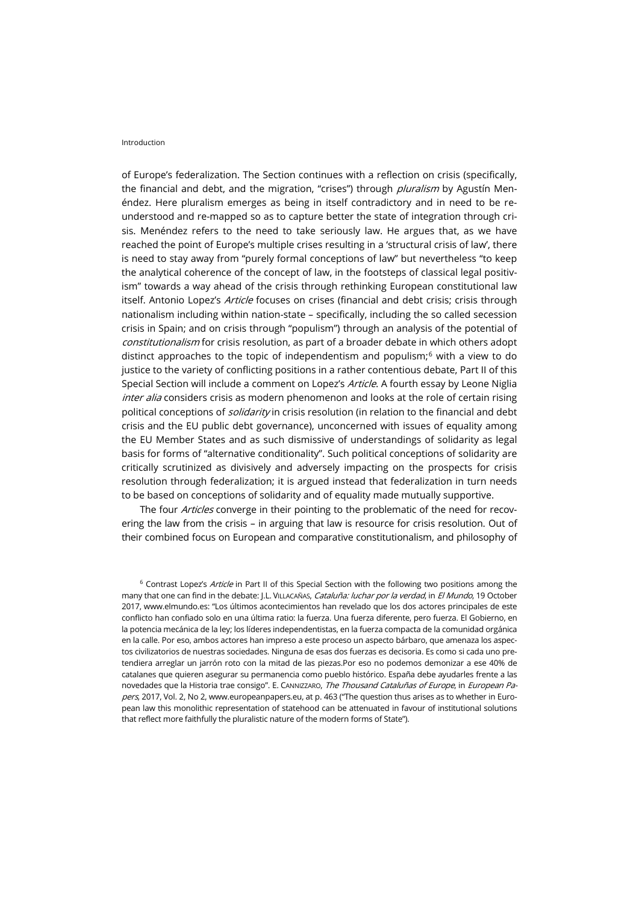## Introduction

of Europe's federalization. The Section continues with a reflection on crisis (specifically, the financial and debt, and the migration, "crises") through *pluralism* by Agustín Menéndez. Here pluralism emerges as being in itself contradictory and in need to be reunderstood and re-mapped so as to capture better the state of integration through crisis. Menéndez refers to the need to take seriously law. He argues that, as we have reached the point of Europe's multiple crises resulting in a 'structural crisis of law', there is need to stay away from "purely formal conceptions of law" but nevertheless "to keep the analytical coherence of the concept of law, in the footsteps of classical legal positivism" towards a way ahead of the crisis through rethinking European constitutional law itself. Antonio Lopez's Article focuses on crises (financial and debt crisis; crisis through nationalism including within nation-state – specifically, including the so called secession crisis in Spain; and on crisis through "populism") through an analysis of the potential of constitutionalism for crisis resolution, as part of a broader debate in which others adopt distinct approaches to the topic of independentism and populism; $<sup>6</sup>$  $<sup>6</sup>$  $<sup>6</sup>$  with a view to do</sup> justice to the variety of conflicting positions in a rather contentious debate, Part II of this Special Section will include a comment on Lopez's Article. A fourth essay by Leone Niglia inter alia considers crisis as modern phenomenon and looks at the role of certain rising political conceptions of *solidarity* in crisis resolution (in relation to the financial and debt crisis and the EU public debt governance), unconcerned with issues of equality among the EU Member States and as such dismissive of understandings of solidarity as legal basis for forms of "alternative conditionality". Such political conceptions of solidarity are critically scrutinized as divisively and adversely impacting on the prospects for crisis resolution through federalization; it is argued instead that federalization in turn needs to be based on conceptions of solidarity and of equality made mutually supportive.

The four Articles converge in their pointing to the problematic of the need for recovering the law from the crisis – in arguing that law is resource for crisis resolution. Out of their combined focus on European and comparative constitutionalism, and philosophy of

<span id="page-2-0"></span><sup>6</sup> Contrast Lopez's Article in Part II of this Special Section with the following two positions among the many that one can find in the debate: J.L. VILLACAÑAS, Cataluña: luchar por la verdad, in El Mundo, 19 October 2017[, www.elmundo.es:](http://www.elmundo.es/opinion/2017/10/19/59e794b546163f61078b4625.html) "Los últimos acontecimientos han revelado que los dos actores principales de este conflicto han confiado solo en una última ratio: la fuerza. Una fuerza diferente, pero fuerza. El Gobierno, en la potencia mecánica de la ley; los líderes independentistas, en la fuerza compacta de la comunidad orgánica en la calle. Por eso, ambos actores han impreso a este proceso un aspecto bárbaro, que amenaza los aspectos civilizatorios de nuestras sociedades. Ninguna de esas dos fuerzas es decisoria. Es como si cada uno pretendiera arreglar un jarrón roto con la mitad de las piezas.Por eso no podemos demonizar a ese 40% de catalanes que quieren asegurar su permanencia como pueblo histórico. España debe ayudarles frente a las novedades que la Historia trae consigo". E. CANNIZZARO, The Thousand Cataluñas of Europe, in European Pa-pers, 2017, Vol. 2, No 2[, www.europeanpapers.eu,](http://www.europeanpapers.eu/en/e-journal/thousands-catalunas-of-europe) at p. 463 ("The question thus arises as to whether in European law this monolithic representation of statehood can be attenuated in favour of institutional solutions that reflect more faithfully the pluralistic nature of the modern forms of State").